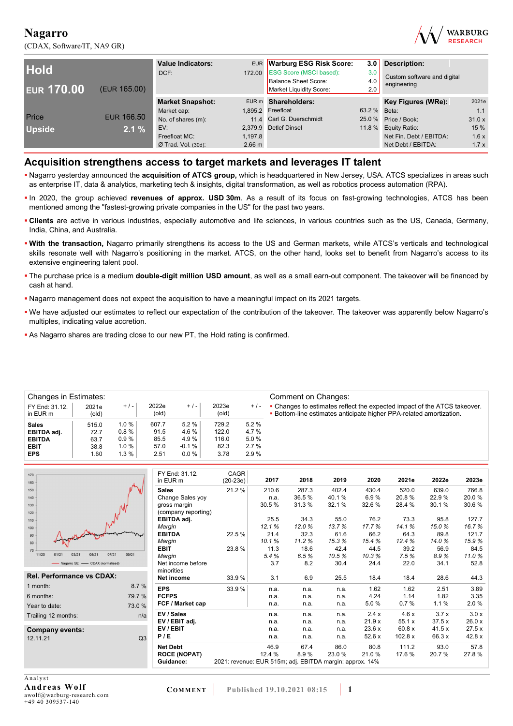(CDAX, Software/IT, NA9 GR)



| <b>Hold</b><br><b>EUR 170.00</b> | (EUR 165.00) | <b>Value Indicators:</b><br>DCF: | 172.00           | EUR Warburg ESG Risk Score:<br><b>ESG Score (MSCI based):</b><br><b>Balance Sheet Score:</b><br>Market Liquidity Score: | 3.0<br>3.0<br>4.0<br>2.0 | <b>Description:</b><br>Custom software and digital<br>engineering |       |
|----------------------------------|--------------|----------------------------------|------------------|-------------------------------------------------------------------------------------------------------------------------|--------------------------|-------------------------------------------------------------------|-------|
|                                  |              | <b>Market Snapshot:</b>          |                  | EUR m Shareholders:                                                                                                     |                          | Key Figures (WRe):                                                | 2021e |
|                                  |              | Market cap:                      |                  | 1,895.2 Freefloat                                                                                                       | 63.2 % Beta:             |                                                                   | 1.1   |
| Price                            | EUR 166.50   | No. of shares (m):               |                  | 11.4 Carl G. Duerschmidt                                                                                                |                          | 25.0 % Price / Book:                                              | 31.0x |
| <b>Upside</b>                    | $2.1 \%$     | EV:                              |                  | 2.379.9 Detlef Dinsel                                                                                                   |                          | 11.8 % Equity Ratio:                                              | 15%   |
|                                  |              | Freefloat MC:                    | 1.197.8          |                                                                                                                         |                          | Net Fin. Debt / EBITDA:                                           | 1.6x  |
|                                  |              | $Ø$ Trad. Vol. (30d):            | $2.66 \text{ m}$ |                                                                                                                         |                          | Net Debt / EBITDA:                                                | 1.7x  |

## **Acquisition strengthens access to target markets and leverages IT talent**

- Nagarro yesterday announced the **acquisition of ATCS group,** which is headquartered in New Jersey, USA. ATCS specializes in areas such as enterprise IT, data & analytics, marketing tech & insights, digital transformation, as well as robotics process automation (RPA).
- In 2020, the group achieved **revenues of approx. USD 30m**. As a result of its focus on fast-growing technologies, ATCS has been mentioned among the "fastest-growing private companies in the US" for the past two years.
- **Clients** are active in various industries, especially automotive and life sciences, in various countries such as the US, Canada, Germany, India, China, and Australia.
- **With the transaction,** Nagarro primarily strengthens its access to the US and German markets, while ATCS's verticals and technological skills resonate well with Nagarro's positioning in the market. ATCS, on the other hand, looks set to benefit from Nagarro's access to its extensive engineering talent pool.
- The purchase price is a medium **double-digit million USD amount**, as well as a small earn-out component. The takeover will be financed by cash at hand.
- Nagarro management does not expect the acquisition to have a meaningful impact on its 2021 targets.
- We have adjusted our estimates to reflect our expectation of the contribution of the takeover. The takeover was apparently below Nagarro's multiples, indicating value accretion.
- As Nagarro shares are trading close to our new PT, the Hold rating is confirmed.

| <b>Changes in Estimates:</b> |                |          |                |         |                |       | Comment on Changes:                                                                                                                             |
|------------------------------|----------------|----------|----------------|---------|----------------|-------|-------------------------------------------------------------------------------------------------------------------------------------------------|
| FY End: 31.12.<br>in EUR m   | 2021e<br>(old) | $+/-$    | 2022e<br>(old) | $+/-$   | 2023e<br>(old) | $+/-$ | • Changes to estimates reflect the expected impact of the ATCS takeover.<br>. Bottom-line estimates anticipate higher PPA-related amortization. |
| <b>Sales</b>                 | 515.0          | 1.0%     | 607.7          | 5.2%    | 729.2          | 5.2%  |                                                                                                                                                 |
| EBITDA adj.                  | 72.7           | 0.8%     | 91.5           | 4.6%    | 122.0          | 4.7%  |                                                                                                                                                 |
| <b>EBITDA</b>                | 63.7           | 0.9%     | 85.5           | 4.9%    | 116.0          | 5.0%  |                                                                                                                                                 |
| <b>EBIT</b>                  | 38.8           | $1.0 \%$ | 57.0           | $-0.1%$ | 82.3           | 2.7%  |                                                                                                                                                 |
| <b>EPS</b>                   | 1.60           | 1.3%     | 2.51           | 0.0%    | 3.78           | 2.9%  |                                                                                                                                                 |
|                              |                |          |                |         |                |       |                                                                                                                                                 |

| 170                                       |        | FY End: 31.12.      | CAGR                                                     |        |       |       |       |           |        |        |
|-------------------------------------------|--------|---------------------|----------------------------------------------------------|--------|-------|-------|-------|-----------|--------|--------|
| 160                                       |        | in EUR m            | $(20-23e)$                                               | 2017   | 2018  | 2019  | 2020  | 2021e     | 2022e  | 2023e  |
| 150                                       |        | <b>Sales</b>        | 21.2%                                                    | 210.6  | 287.3 | 402.4 | 430.4 | 520.0     | 639.0  | 766.8  |
| 140                                       |        | Change Sales yoy    |                                                          | n.a.   | 36.5% | 40.1% | 6.9%  | 20.8%     | 22.9%  | 20.0%  |
| 130                                       |        | gross margin        |                                                          | 30.5%  | 31.3% | 32.1% | 32.6% | 28.4 %    | 30.1%  | 30.6%  |
| 120                                       |        | (company reporting) |                                                          |        |       |       |       |           |        |        |
| 110                                       |        | EBITDA adj.         |                                                          | 25.5   | 34.3  | 55.0  | 76.2  | 73.3      | 95.8   | 127.7  |
| 100                                       |        | Margin              |                                                          | 12.1%  | 12.0% | 13.7% | 17.7% | 14.1%     | 15.0%  | 16.7%  |
| 90                                        |        | <b>EBITDA</b>       | 22.5 %                                                   | 21.4   | 32.3  | 61.6  | 66.2  | 64.3      | 89.8   | 121.7  |
| $80 -$                                    |        | Margin              |                                                          | 10.1%  | 11.2% | 15.3% | 15.4% | 12.4%     | 14.0%  | 15.9%  |
| 70                                        |        | <b>EBIT</b>         | 23.8%                                                    | 11.3   | 18.6  | 42.4  | 44.5  | 39.2      | 56.9   | 84.5   |
| 11/20<br>07/21<br>01/21<br>03/21<br>05/21 | 09/21  | Margin              |                                                          | 5.4%   | 6.5%  | 10.5% | 10.3% | 7.5%      | 8.9%   | 11.0%  |
| - Nagarro SE - CDAX (normalised)          |        | Net income before   |                                                          | 3.7    | 8.2   | 30.4  | 24.4  | 22.0      | 34.1   | 52.8   |
|                                           |        | minorities          |                                                          |        |       |       |       |           |        |        |
| <b>Rel. Performance vs CDAX:</b>          |        | <b>Net income</b>   | 33.9%                                                    | 3.1    | 6.9   | 25.5  | 18.4  | 18.4      | 28.6   | 44.3   |
| 1 month:                                  | 8.7%   | <b>EPS</b>          | 33.9%                                                    | n.a.   | n.a.  | n.a.  | 1.62  | 1.62      | 2.51   | 3.89   |
| 6 months:                                 | 79.7 % | <b>FCFPS</b>        |                                                          | n.a.   | n.a.  | n.a.  | 4.24  | 1.14      | 1.82   | 3.35   |
| Year to date:                             | 73.0 % | FCF / Market cap    |                                                          | n.a.   | n.a.  | n.a.  | 5.0%  | 0.7%      | 1.1%   | 2.0%   |
| Trailing 12 months:                       | n/a    | EV / Sales          |                                                          | n.a.   | n.a.  | n.a.  | 2.4x  | 4.6x      | 3.7x   | 3.0x   |
|                                           |        | EV / EBIT adj.      |                                                          | n.a.   | n.a.  | n.a.  | 21.9x | 55.1x     | 37.5x  | 26.0 x |
| Company events:                           |        | EV / EBIT           |                                                          | n.a.   | n.a.  | n.a.  | 23.6x | 60.8x     | 41.5x  | 27.5x  |
| 12.11.21                                  | Q3     | P/E                 |                                                          | n.a.   | n.a.  | n.a.  | 52.6x | 102.8 $x$ | 66.3 x | 42.8 x |
|                                           |        | <b>Net Debt</b>     |                                                          | 46.9   | 67.4  | 86.0  | 80.8  | 111.2     | 93.0   | 57.8   |
|                                           |        | <b>ROCE (NOPAT)</b> |                                                          | 12.4 % | 8.9%  | 23.0% | 21.0% | 17.6 %    | 20.7%  | 27.8%  |
|                                           |        | Guidance:           | 2021: revenue: EUR 515m; adj. EBITDA margin: approx. 14% |        |       |       |       |           |        |        |
|                                           |        |                     |                                                          |        |       |       |       |           |        |        |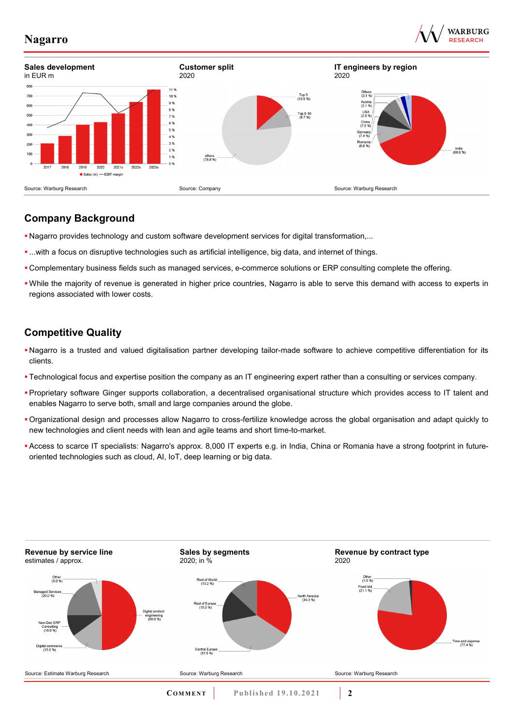





## **Company Background**

- Nagarro provides technology and custom software development services for digital transformation,...
- ...with a focus on disruptive technologies such as artificial intelligence, big data, and internet of things.
- Complementary business fields such as managed services, e-commerce solutions or ERP consulting complete the offering.
- While the majority of revenue is generated in higher price countries, Nagarro is able to serve this demand with access to experts in regions associated with lower costs.

## **Competitive Quality**

- Nagarro is a trusted and valued digitalisation partner developing tailor-made software to achieve competitive differentiation for its clients.
- Technological focus and expertise position the company as an IT engineering expert rather than a consulting or services company.
- Proprietary software Ginger supports collaboration, a decentralised organisational structure which provides access to IT talent and enables Nagarro to serve both, small and large companies around the globe.
- Organizational design and processes allow Nagarro to cross-fertilize knowledge across the global organisation and adapt quickly to new technologies and client needs with lean and agile teams and short time-to-market.
- Access to scarce IT specialists: Nagarro's approx. 8,000 IT experts e.g. in India, China or Romania have a strong footprint in futureoriented technologies such as cloud, AI, IoT, deep learning or big data.

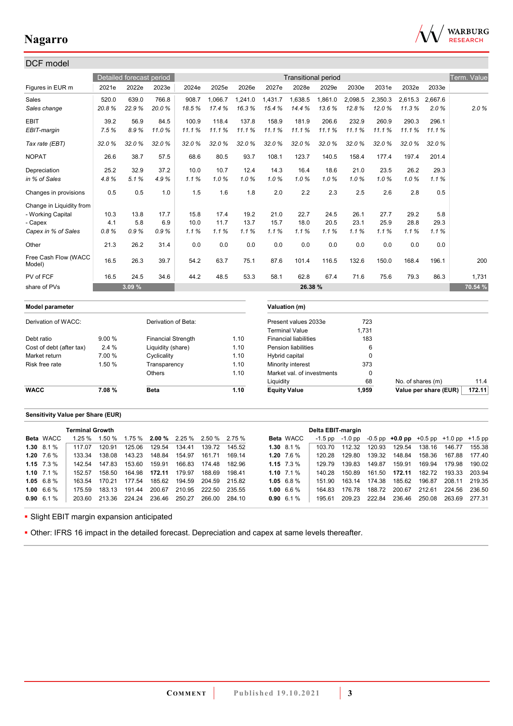

| DCF model                      |        |                          |                           |       |         |         |                     |                              |                            |         |             |                   |                       |             |
|--------------------------------|--------|--------------------------|---------------------------|-------|---------|---------|---------------------|------------------------------|----------------------------|---------|-------------|-------------------|-----------------------|-------------|
|                                |        | Detailed forecast period |                           |       |         |         |                     |                              | <b>Transitional period</b> |         |             |                   |                       | Term. Value |
| Figures in EUR m               | 2021e  | 2022e                    | 2023e                     | 2024e | 2025e   | 2026e   | 2027e               | 2028e                        | 2029e                      | 2030e   | 2031e       | 2032e             | 2033e                 |             |
| Sales                          | 520.0  | 639.0                    | 766.8                     | 908.7 | 1,066.7 | 1,241.0 | 1,431.7             | 1,638.5                      | 1,861.0                    | 2,098.5 | 2,350.3     | 2,615.3           | 2,667.6               |             |
| Sales change                   | 20.8%  | 22.9%                    | 20.0%                     | 18.5% | 17.4%   | 16.3%   | 15.4%               | 14.4%                        | 13.6%                      | 12.8%   | 12.0%       | 11.3%             | 2.0%                  | 2.0%        |
| <b>EBIT</b>                    | 39.2   | 56.9                     | 84.5                      | 100.9 | 118.4   | 137.8   | 158.9               | 181.9                        | 206.6                      | 232.9   | 260.9       | 290.3             | 296.1                 |             |
| EBIT-margin                    | 7.5%   | 8.9%                     | 11.0%                     | 11.1% | 11.1%   | 11.1%   | 11.1%               | 11.1%                        | 11.1%                      | 11.1%   | 11.1%       | 11.1%             | 11.1%                 |             |
| Tax rate (EBT)                 | 32.0%  | 32.0%                    | 32.0%                     | 32.0% | 32.0%   | 32.0%   | 32.0%               | 32.0%                        | 32.0%                      | 32.0%   | 32.0%       | 32.0%             | 32.0%                 |             |
| <b>NOPAT</b>                   | 26.6   | 38.7                     | 57.5                      | 68.6  | 80.5    | 93.7    | 108.1               | 123.7                        | 140.5                      | 158.4   | 177.4       | 197.4             | 201.4                 |             |
| Depreciation                   | 25.2   | 32.9                     | 37.2                      | 10.0  | 10.7    | 12.4    | 14.3                | 16.4                         | 18.6                       | 21.0    | 23.5        | 26.2              | 29.3                  |             |
| in % of Sales                  | 4.8%   | 5.1%                     | 4.9%                      | 1.1%  | 1.0%    | 1.0%    | 1.0%                | 1.0%                         | 1.0%                       | 1.0%    | 1.0%        | 1.0%              | 1.1%                  |             |
| Changes in provisions          | 0.5    | 0.5                      | 1.0                       | 1.5   | 1.6     | 1.8     | 2.0                 | 2.2                          | 2.3                        | 2.5     | 2.6         | 2.8               | 0.5                   |             |
| Change in Liquidity from       |        |                          |                           |       |         |         |                     |                              |                            |         |             |                   |                       |             |
| - Working Capital              | 10.3   | 13.8                     | 17.7                      | 15.8  | 17.4    | 19.2    | 21.0                | 22.7                         | 24.5                       | 26.1    | 27.7        | 29.2              | 5.8                   |             |
| - Capex                        | 4.1    | 5.8                      | 6.9                       | 10.0  | 11.7    | 13.7    | 15.7                | 18.0                         | 20.5                       | 23.1    | 25.9        | 28.8              | 29.3                  |             |
| Capex in % of Sales            | 0.8%   | 0.9%                     | 0.9%                      | 1.1%  | 1.1%    | 1.1%    | 1.1%                | 1.1%                         | 1.1%                       | 1.1%    | 1.1%        | 1.1%              | 1.1%                  |             |
| Other                          | 21.3   | 26.2                     | 31.4                      | 0.0   | 0.0     | 0.0     | 0.0                 | 0.0                          | 0.0                        | 0.0     | 0.0         | 0.0               | 0.0                   |             |
| Free Cash Flow (WACC<br>Model) | 16.5   | 26.3                     | 39.7                      | 54.2  | 63.7    | 75.1    | 87.6                | 101.4                        | 116.5                      | 132.6   | 150.0       | 168.4             | 196.1                 | 200         |
| PV of FCF                      | 16.5   | 24.5                     | 34.6                      | 44.2  | 48.5    | 53.3    | 58.1                | 62.8                         | 67.4                       | 71.6    | 75.6        | 79.3              | 86.3                  | 1,731       |
| share of PVs                   |        | 3.09 %                   |                           |       |         |         |                     | 26.38 %                      |                            |         |             |                   |                       | 70.54 %     |
| Model parameter                |        |                          |                           |       |         |         |                     | Valuation (m)                |                            |         |             |                   |                       |             |
| Derivation of WACC:            |        |                          | Derivation of Beta:       |       |         |         |                     | Present values 2033e         |                            |         | 723         |                   |                       |             |
|                                |        |                          |                           |       |         |         |                     | <b>Terminal Value</b>        |                            | 1,731   |             |                   |                       |             |
| Debt ratio                     | 9.00 % |                          | <b>Financial Strength</b> |       |         | 1.10    |                     | <b>Financial liabilities</b> |                            |         | 183         |                   |                       |             |
| Cost of debt (after tax)       | 2.4 %  |                          | Liquidity (share)         |       |         | 1.10    |                     | <b>Pension liabilities</b>   |                            |         | 6           |                   |                       |             |
| Market return                  | 7.00 % |                          | Cyclicality               |       |         | 1.10    | Hybrid capital      |                              |                            |         | $\mathbf 0$ |                   |                       |             |
| Risk free rate                 | 1.50 % |                          | Transparency              |       |         | 1.10    |                     | Minority interest            |                            |         | 373         |                   |                       |             |
|                                |        |                          | Others                    |       |         | 1.10    |                     | Market val. of investments   |                            |         | $\Omega$    |                   |                       |             |
|                                |        |                          |                           |       |         |         | Liquidity           |                              |                            |         | 68          | No. of shares (m) |                       | 11.4        |
| <b>WACC</b>                    | 7.08%  |                          | <b>Beta</b>               |       |         | 1.10    | <b>Equity Value</b> |                              |                            | 1,959   |             |                   | Value per share (EUR) | 172.11      |

## **Sensitivity Value per Share (EUR)**

|                    | <b>Terminal Growth</b> |        |        |        |                                      |        |        |                    |                  | Delta EBIT-margin |         |        |                                                   |        |        |        |
|--------------------|------------------------|--------|--------|--------|--------------------------------------|--------|--------|--------------------|------------------|-------------------|---------|--------|---------------------------------------------------|--------|--------|--------|
| <b>Beta</b> WACC   | 1.25%                  | 1.50 % |        |        | $1.75\%$ 2.00 % 2.25 % 2.50 % 2.75 % |        |        |                    | <b>Beta</b> WACC | $-1.5$ pp         | -1.0 pp |        | $-0.5$ pp $+0.0$ pp $+0.5$ pp $+1.0$ pp $+1.5$ pp |        |        |        |
| $1.30\quad 8.1\%$  | 117.07                 | 120.91 | 125.06 | 129.54 | 134.41                               | 139.72 | 145.52 | 1.30 $8.1\%$       |                  | 103 70            | 112.32  | 120.93 | 129.54                                            | 138.16 | 146.77 | 155.38 |
| 1.20 $7.6\%$       | 133.34                 | 138.08 | 143.23 | 148.84 | 154.97                               | 161.71 | 169.14 |                    | 1.20 $7.6\%$     | 120.28            | 129.80  | 139.32 | 148.84                                            | 158.36 | 167.88 | 177.40 |
| 1.15 $7.3\%$       | 142.54                 | 147.83 | 153.60 | 159.91 | 166.83                               | 174.48 | 182.96 | 1.15 $7.3\%$       |                  | 129 79            | 139.83  | 149.87 | 159.91                                            | 169.94 | 179.98 | 190.02 |
| 1.10 $7.1\%$       | 152.57                 | 158.50 | 164.98 | 172.11 | 179.97                               | 188.69 | 198.41 | 1.10 $7.1\%$       |                  | 140.28            | 150.89  | 161.50 | 172.11                                            | 182.72 | 193.33 | 203.94 |
| $1.05 \quad 6.8\%$ | 163 54                 | 170 21 | 177.54 | 185.62 | 194.59                               | 204.59 | 215.82 | 1.05 $6.8\%$       |                  | 151 90            | 163.14  | 174.38 | 185.62                                            | 196.87 | 208.11 | 219.35 |
| 1.00 $6.6\%$       | 175 59                 | 183 13 | 191.44 | 200.67 | 210.95                               | 222.50 | 235.55 | 1.00 $6.6\%$       |                  | 164 83            | 176.78  | 188.72 | 200.67                                            | 212.61 | 224.56 | 236.50 |
| $0.90 \quad 6.1\%$ | 203.60                 | 213.36 | 224.24 | 236.46 | 250.27                               | 266.00 | 284.10 | $0.90 \quad 6.1\%$ |                  | 195.61            | 209.23  | 222.84 | 236.46                                            | 250.08 | 263.69 | 277.31 |
|                    |                        |        |        |        |                                      |        |        |                    |                  |                   |         |        |                                                   |        |        |        |

**- Slight EBIT margin expansion anticipated** 

Other: IFRS 16 impact in the detailed forecast. Depreciation and capex at same levels thereafter.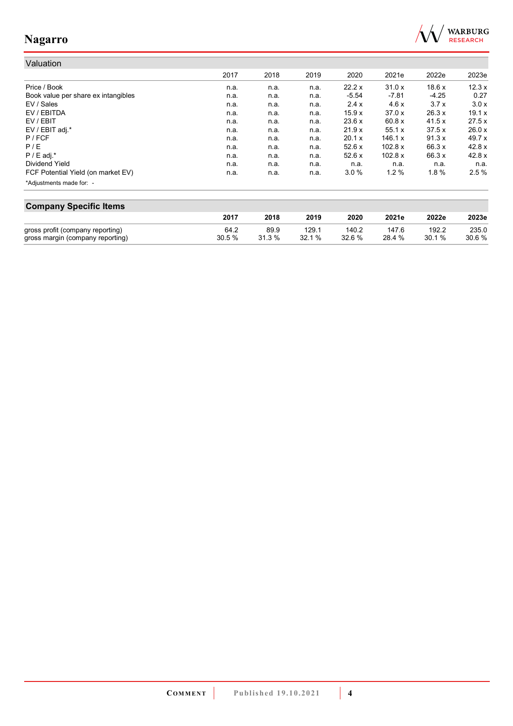

#### Valuation 2017 2018 2019 2020 2021e 2022e 2023e Price / Book n.a. n.a. n.a. 22.2 x 31.0 x 18.6 x 12.3 x Book value per share ex intangibles **n.a.** n.a. n.a. n.a. n.a. -5.54 -7.81 -4.25 0.27<br>EV / Sales 3.7 x 3.0 x n.a. n.a. n.a. n.a. 2.4 x 4.6 x 3.7 x 3.0 x EV / Sales n.a. n.a. n.a. 2.4 x 4.6 x 3.7 x 3.0 x EV / EBITDA n.a. n.a. n.a. 15.9 x 37.0 x 26.3 x 19.1 x EV / EBIT n.a. n.a. n.a. 23.6 x 60.8 x 41.5 x 27.5 x EV / EBIT adj.\* n.a. n.a. n.a. 21.9 x 55.1 x 37.5 x 26.0 x P / FCF n.a. n.a. n.a. 20.1 x 146.1 x 91.3 x 49.7 x P / E n.a. n.a. n.a. 52.6 x 102.8 x 66.3 x 42.8 x P / E adj.\* n.a. n.a. n.a. 52.6 x 102.8 x 66.3 x 42.8 x Dividend Yield n.a. n.a. n.a. n.a. n.a. n.a. n.a. FCF Potential Yield (on market EV) **n.a.** n.a. n.a. n.a. 3.0 % 1.2 % 1.8 % 2.5 % \*Adjustments made for: -

| <b>Company Specific Items</b>    |       |        |       |        |        |        |       |  |
|----------------------------------|-------|--------|-------|--------|--------|--------|-------|--|
|                                  | 2017  | 2018   | 2019  | 2020   | 2021e  | 2022e  | 2023e |  |
| gross profit (company reporting) | 64.2  | 89.9   | 129.1 | 140.2  | 147.6  | 192.2  | 235.0 |  |
| gross margin (company reporting) | 30.5% | 31.3 % | 32.1% | 32.6 % | 28.4 % | 30.1 % | 30.6% |  |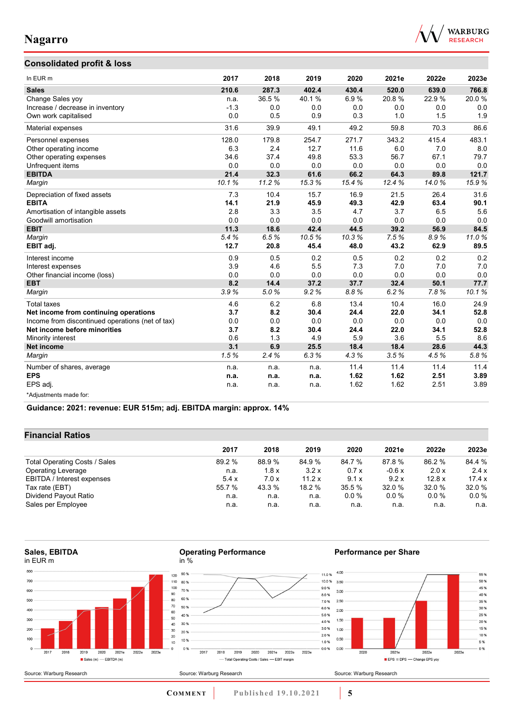

## **Consolidated profit & loss**

| In EUR m                                         | 2017   | 2018  | 2019  | 2020  | 2021e | 2022e | 2023e |
|--------------------------------------------------|--------|-------|-------|-------|-------|-------|-------|
| <b>Sales</b>                                     | 210.6  | 287.3 | 402.4 | 430.4 | 520.0 | 639.0 | 766.8 |
| Change Sales yoy                                 | n.a.   | 36.5% | 40.1% | 6.9%  | 20.8% | 22.9% | 20.0% |
| Increase / decrease in inventory                 | $-1.3$ | 0.0   | 0.0   | 0.0   | 0.0   | 0.0   | 0.0   |
| Own work capitalised                             | 0.0    | 0.5   | 0.9   | 0.3   | 1.0   | 1.5   | 1.9   |
| Material expenses                                | 31.6   | 39.9  | 49.1  | 49.2  | 59.8  | 70.3  | 86.6  |
| Personnel expenses                               | 128.0  | 179.8 | 254.7 | 271.7 | 343.2 | 415.4 | 483.1 |
| Other operating income                           | 6.3    | 2.4   | 12.7  | 11.6  | 6.0   | 7.0   | 8.0   |
| Other operating expenses                         | 34.6   | 37.4  | 49.8  | 53.3  | 56.7  | 67.1  | 79.7  |
| Unfrequent items                                 | 0.0    | 0.0   | 0.0   | 0.0   | 0.0   | 0.0   | 0.0   |
| <b>EBITDA</b>                                    | 21.4   | 32.3  | 61.6  | 66.2  | 64.3  | 89.8  | 121.7 |
| Margin                                           | 10.1%  | 11.2% | 15.3% | 15.4% | 12.4% | 14.0% | 15.9% |
| Depreciation of fixed assets                     | 7.3    | 10.4  | 15.7  | 16.9  | 21.5  | 26.4  | 31.6  |
| <b>EBITA</b>                                     | 14.1   | 21.9  | 45.9  | 49.3  | 42.9  | 63.4  | 90.1  |
| Amortisation of intangible assets                | 2.8    | 3.3   | 3.5   | 4.7   | 3.7   | 6.5   | 5.6   |
| Goodwill amortisation                            | 0.0    | 0.0   | 0.0   | 0.0   | 0.0   | 0.0   | 0.0   |
| <b>EBIT</b>                                      | 11.3   | 18.6  | 42.4  | 44.5  | 39.2  | 56.9  | 84.5  |
| Margin                                           | 5.4%   | 6.5%  | 10.5% | 10.3% | 7.5%  | 8.9%  | 11.0% |
| EBIT adj.                                        | 12.7   | 20.8  | 45.4  | 48.0  | 43.2  | 62.9  | 89.5  |
| Interest income                                  | 0.9    | 0.5   | 0.2   | 0.5   | 0.2   | 0.2   | 0.2   |
| Interest expenses                                | 3.9    | 4.6   | 5.5   | 7.3   | 7.0   | 7.0   | 7.0   |
| Other financial income (loss)                    | 0.0    | 0.0   | 0.0   | 0.0   | 0.0   | 0.0   | 0.0   |
| <b>EBT</b>                                       | 8.2    | 14.4  | 37.2  | 37.7  | 32.4  | 50.1  | 77.7  |
| Margin                                           | 3.9%   | 5.0%  | 9.2%  | 8.8%  | 6.2%  | 7.8%  | 10.1% |
| <b>Total taxes</b>                               | 4.6    | 6.2   | 6.8   | 13.4  | 10.4  | 16.0  | 24.9  |
| Net income from continuing operations            | 3.7    | 8.2   | 30.4  | 24.4  | 22.0  | 34.1  | 52.8  |
| Income from discontinued operations (net of tax) | 0.0    | 0.0   | 0.0   | 0.0   | 0.0   | 0.0   | 0.0   |
| Net income before minorities                     | 3.7    | 8.2   | 30.4  | 24.4  | 22.0  | 34.1  | 52.8  |
| Minority interest                                | 0.6    | 1.3   | 4.9   | 5.9   | 3.6   | 5.5   | 8.6   |
| <b>Net income</b>                                | 3.1    | 6.9   | 25.5  | 18.4  | 18.4  | 28.6  | 44.3  |
| Margin                                           | 1.5%   | 2.4%  | 6.3%  | 4.3%  | 3.5%  | 4.5%  | 5.8%  |
| Number of shares, average                        | n.a.   | n.a.  | n.a.  | 11.4  | 11.4  | 11.4  | 11.4  |
| <b>EPS</b>                                       | n.a.   | n.a.  | n.a.  | 1.62  | 1.62  | 2.51  | 3.89  |
| EPS adj.                                         | n.a.   | n.a.  | n.a.  | 1.62  | 1.62  | 2.51  | 3.89  |
| *Adjustments made for:                           |        |       |       |       |       |       |       |

**Guidance: 2021: revenue: EUR 515m; adj. EBITDA margin: approx. 14%**

## **Financial Ratios**

|                               | 2017   | 2018   | 2019   | 2020   | 2021e   | 2022e   | 2023e   |
|-------------------------------|--------|--------|--------|--------|---------|---------|---------|
| Total Operating Costs / Sales | 89.2 % | 88.9 % | 84.9%  | 84.7 % | 87.8 %  | 86.2 %  | 84.4 %  |
| Operating Leverage            | n.a.   | 1.8x   | 3.2x   | 0.7x   | $-0.6x$ | 2.0x    | 2.4x    |
| EBITDA / Interest expenses    | 5.4x   | 7.0x   | 11.2x  | 9.1x   | 9.2 x   | 12.8x   | 17.4 x  |
| Tax rate (EBT)                | 55.7 % | 43.3 % | 18.2 % | 35.5 % | 32.0 %  | 32.0 %  | 32.0 %  |
| Dividend Payout Ratio         | n.a.   | n.a.   | n.a.   | 0.0%   | 0.0%    | $0.0\%$ | $0.0\%$ |
| Sales per Employee            | n.a.   | n.a.   | n.a.   | n.a.   | n.a.    | n.a.    | n.a.    |

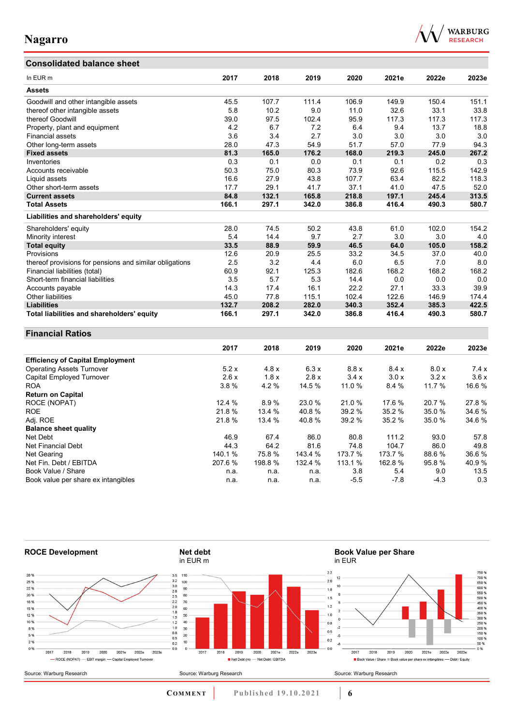# **Consolidated balance sheet**



| In EUR m                                                | 2017   | 2018   | 2019    | 2020    | 2021e   | 2022e  | 2023e |
|---------------------------------------------------------|--------|--------|---------|---------|---------|--------|-------|
| <b>Assets</b>                                           |        |        |         |         |         |        |       |
| Goodwill and other intangible assets                    | 45.5   | 107.7  | 111.4   | 106.9   | 149.9   | 150.4  | 151.1 |
| thereof other intangible assets                         | 5.8    | 10.2   | 9.0     | 11.0    | 32.6    | 33.1   | 33.8  |
| thereof Goodwill                                        | 39.0   | 97.5   | 102.4   | 95.9    | 117.3   | 117.3  | 117.3 |
| Property, plant and equipment                           | 4.2    | 6.7    | 7.2     | 6.4     | 9.4     | 13.7   | 18.8  |
| Financial assets                                        | 3.6    | 3.4    | 2.7     | 3.0     | 3.0     | 3.0    | 3.0   |
| Other long-term assets                                  | 28.0   | 47.3   | 54.9    | 51.7    | 57.0    | 77.9   | 94.3  |
| <b>Fixed assets</b>                                     | 81.3   | 165.0  | 176.2   | 168.0   | 219.3   | 245.0  | 267.2 |
| Inventories                                             | 0.3    | 0.1    | $0.0\,$ | 0.1     | 0.1     | 0.2    | 0.3   |
| Accounts receivable                                     | 50.3   | 75.0   | 80.3    | 73.9    | 92.6    | 115.5  | 142.9 |
| Liquid assets                                           | 16.6   | 27.9   | 43.8    | 107.7   | 63.4    | 82.2   | 118.3 |
| Other short-term assets                                 | 17.7   | 29.1   | 41.7    | 37.1    | 41.0    | 47.5   | 52.0  |
| <b>Current assets</b>                                   | 84.8   | 132.1  | 165.8   | 218.8   | 197.1   | 245.4  | 313.5 |
| <b>Total Assets</b>                                     | 166.1  | 297.1  | 342.0   | 386.8   | 416.4   | 490.3  | 580.7 |
| Liabilities and shareholders' equity                    |        |        |         |         |         |        |       |
| Shareholders' equity                                    | 28.0   | 74.5   | 50.2    | 43.8    | 61.0    | 102.0  | 154.2 |
| Minority interest                                       | 5.4    | 14.4   | 9.7     | 2.7     | 3.0     | 3.0    | 4.0   |
| <b>Total equity</b>                                     | 33.5   | 88.9   | 59.9    | 46.5    | 64.0    | 105.0  | 158.2 |
| Provisions                                              | 12.6   | 20.9   | 25.5    | 33.2    | 34.5    | 37.0   | 40.0  |
| thereof provisions for pensions and similar obligations | 2.5    | 3.2    | 4.4     | 6.0     | 6.5     | 7.0    | 8.0   |
| Financial liabilities (total)                           | 60.9   | 92.1   | 125.3   | 182.6   | 168.2   | 168.2  | 168.2 |
| Short-term financial liabilities                        | 3.5    | 5.7    | 5.3     | 14.4    | 0.0     | 0.0    | 0.0   |
| Accounts payable                                        | 14.3   | 17.4   | 16.1    | 22.2    | 27.1    | 33.3   | 39.9  |
| Other liabilities                                       | 45.0   | 77.8   | 115.1   | 102.4   | 122.6   | 146.9  | 174.4 |
| <b>Liabilities</b>                                      | 132.7  | 208.2  | 282.0   | 340.3   | 352.4   | 385.3  | 422.5 |
| Total liabilities and shareholders' equity              | 166.1  | 297.1  | 342.0   | 386.8   | 416.4   | 490.3  | 580.7 |
| <b>Financial Ratios</b>                                 |        |        |         |         |         |        |       |
|                                                         | 2017   | 2018   | 2019    | 2020    | 2021e   | 2022e  | 2023e |
|                                                         |        |        |         |         |         |        |       |
| <b>Efficiency of Capital Employment</b>                 |        |        |         |         |         |        |       |
| <b>Operating Assets Turnover</b>                        | 5.2x   | 4.8x   | 6.3x    | 8.8x    | 8.4x    | 8.0 x  | 7.4x  |
| Capital Employed Turnover                               | 2.6x   | 1.8x   | 2.8x    | 3.4x    | 3.0 x   | 3.2x   | 3.6x  |
| <b>ROA</b>                                              | 3.8%   | 4.2%   | 14.5 %  | 11.0%   | 8.4 %   | 11.7 % | 16.6% |
| <b>Return on Capital</b>                                |        |        |         |         |         |        |       |
| ROCE (NOPAT)                                            | 12.4 % | 8.9%   | 23.0%   | 21.0%   | 17.6%   | 20.7%  | 27.8% |
| <b>ROE</b>                                              | 21.8%  | 13.4 % | 40.8%   | 39.2 %  | 35.2 %  | 35.0%  | 34.6% |
| Adj. ROE                                                | 21.8%  | 13.4 % | 40.8%   | 39.2 %  | 35.2 %  | 35.0%  | 34.6% |
| <b>Balance sheet quality</b>                            |        |        |         |         |         |        |       |
| Net Debt                                                | 46.9   | 67.4   | 86.0    | 80.8    | 111.2   | 93.0   | 57.8  |
| Net Financial Debt                                      | 44.3   | 64.2   | 81.6    | 74.8    | 104.7   | 86.0   | 49.8  |
| Net Gearing                                             | 140.1% | 75.8%  | 143.4 % | 173.7 % | 173.7 % | 88.6%  | 36.6% |
| Net Fin. Debt / EBITDA                                  | 207.6% | 198.8% | 132.4 % | 113.1 % | 162.8%  | 95.8%  | 40.9% |
| Book Value / Share                                      | n.a.   | n.a.   | n.a.    | 3.8     | 5.4     | 9.0    | 13.5  |
| Book value per share ex intangibles                     | n.a.   | n.a.   | n.a.    | $-5.5$  | $-7.8$  | $-4.3$ | 0.3   |



**COMMENT** Published 19.10.2021 **6**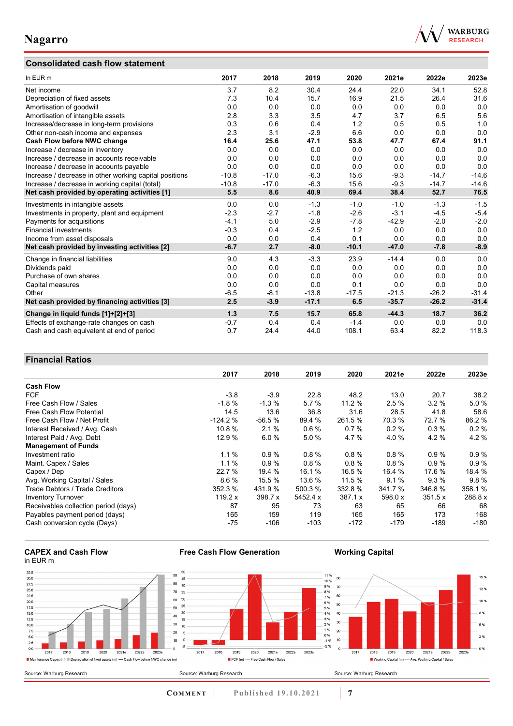# **Consolidated cash flow statement**



| In EUR m                                               | 2017    | 2018    | 2019    | 2020    | 2021e   | 2022e   | 2023e   |
|--------------------------------------------------------|---------|---------|---------|---------|---------|---------|---------|
| Net income                                             | 3.7     | 8.2     | 30.4    | 24.4    | 22.0    | 34.1    | 52.8    |
| Depreciation of fixed assets                           | 7.3     | 10.4    | 15.7    | 16.9    | 21.5    | 26.4    | 31.6    |
| Amortisation of goodwill                               | 0.0     | 0.0     | 0.0     | 0.0     | 0.0     | 0.0     | 0.0     |
| Amortisation of intangible assets                      | 2.8     | 3.3     | 3.5     | 4.7     | 3.7     | 6.5     | 5.6     |
| Increase/decrease in long-term provisions              | 0.3     | 0.6     | 0.4     | 1.2     | 0.5     | 0.5     | 1.0     |
| Other non-cash income and expenses                     | 2.3     | 3.1     | $-2.9$  | 6.6     | 0.0     | 0.0     | 0.0     |
| Cash Flow before NWC change                            | 16.4    | 25.6    | 47.1    | 53.8    | 47.7    | 67.4    | 91.1    |
| Increase / decrease in inventory                       | 0.0     | 0.0     | 0.0     | 0.0     | 0.0     | 0.0     | 0.0     |
| Increase / decrease in accounts receivable             | 0.0     | 0.0     | 0.0     | 0.0     | 0.0     | 0.0     | 0.0     |
| Increase / decrease in accounts payable                | 0.0     | 0.0     | 0.0     | 0.0     | 0.0     | 0.0     | 0.0     |
| Increase / decrease in other working capital positions | $-10.8$ | $-17.0$ | $-6.3$  | 15.6    | $-9.3$  | $-14.7$ | $-14.6$ |
| Increase / decrease in working capital (total)         | $-10.8$ | $-17.0$ | $-6.3$  | 15.6    | $-9.3$  | $-14.7$ | $-14.6$ |
| Net cash provided by operating activities [1]          | 5.5     | 8.6     | 40.9    | 69.4    | 38.4    | 52.7    | 76.5    |
| Investments in intangible assets                       | 0.0     | 0.0     | $-1.3$  | $-1.0$  | $-1.0$  | $-1.3$  | $-1.5$  |
| Investments in property, plant and equipment           | $-2.3$  | $-2.7$  | $-1.8$  | $-2.6$  | $-3.1$  | $-4.5$  | $-5.4$  |
| Payments for acquisitions                              | $-4.1$  | 5.0     | $-2.9$  | $-7.8$  | $-42.9$ | $-2.0$  | $-2.0$  |
| <b>Financial investments</b>                           | $-0.3$  | 0.4     | $-2.5$  | 1.2     | 0.0     | 0.0     | 0.0     |
| Income from asset disposals                            | 0.0     | 0.0     | 0.4     | 0.1     | 0.0     | 0.0     | 0.0     |
| Net cash provided by investing activities [2]          | $-6.7$  | 2.7     | $-8.0$  | $-10.1$ | $-47.0$ | $-7.8$  | $-8.9$  |
| Change in financial liabilities                        | 9.0     | 4.3     | $-3.3$  | 23.9    | $-14.4$ | 0.0     | 0.0     |
| Dividends paid                                         | 0.0     | 0.0     | 0.0     | 0.0     | 0.0     | 0.0     | 0.0     |
| Purchase of own shares                                 | 0.0     | 0.0     | 0.0     | 0.0     | 0.0     | 0.0     | 0.0     |
| Capital measures                                       | 0.0     | 0.0     | 0.0     | 0.1     | 0.0     | 0.0     | 0.0     |
| Other                                                  | $-6.5$  | $-8.1$  | $-13.8$ | $-17.5$ | $-21.3$ | $-26.2$ | $-31.4$ |
| Net cash provided by financing activities [3]          | 2.5     | $-3.9$  | $-17.1$ | 6.5     | $-35.7$ | $-26.2$ | $-31.4$ |
| Change in liquid funds [1]+[2]+[3]                     | 1.3     | 7.5     | 15.7    | 65.8    | $-44.3$ | 18.7    | 36.2    |
| Effects of exchange-rate changes on cash               | $-0.7$  | 0.4     | 0.4     | $-1.4$  | 0.0     | 0.0     | 0.0     |
| Cash and cash equivalent at end of period              | 0.7     | 24.4    | 44.0    | 108.1   | 63.4    | 82.2    | 118.3   |

## **Financial Ratios**

|                                      | 2017      | 2018     | 2019     | 2020    | 2021e   | 2022e  | 2023e   |
|--------------------------------------|-----------|----------|----------|---------|---------|--------|---------|
| <b>Cash Flow</b>                     |           |          |          |         |         |        |         |
| <b>FCF</b>                           | $-3.8$    | $-3.9$   | 22.8     | 48.2    | 13.0    | 20.7   | 38.2    |
| Free Cash Flow / Sales               | $-1.8%$   | $-1.3%$  | 5.7%     | 11.2%   | 2.5%    | 3.2%   | 5.0%    |
| Free Cash Flow Potential             | 14.5      | 13.6     | 36.8     | 31.6    | 28.5    | 41.8   | 58.6    |
| Free Cash Flow / Net Profit          | $-124.2%$ | $-56.5%$ | 89.4 %   | 261.5 % | 70.3 %  | 72.7 % | 86.2%   |
| Interest Received / Avg. Cash        | 10.8 %    | 2.1%     | 0.6%     | 0.7%    | 0.2%    | 0.3%   | 0.2%    |
| Interest Paid / Avg. Debt            | 12.9 %    | 6.0%     | 5.0%     | 4.7%    | 4.0 %   | 4.2%   | 4.2%    |
| <b>Management of Funds</b>           |           |          |          |         |         |        |         |
| Investment ratio                     | 1.1%      | 0.9%     | 0.8%     | 0.8%    | 0.8%    | 0.9%   | 0.9%    |
| Maint. Capex / Sales                 | 1.1%      | 0.9%     | $0.8 \%$ | 0.8%    | 0.8%    | 0.9%   | 0.9%    |
| Capex / Dep                          | 22.7 %    | 19.4 %   | 16.1 %   | 16.5 %  | 16.4 %  | 17.6 % | 18.4 %  |
| Avg. Working Capital / Sales         | 8.6%      | 15.5 %   | 13.6 %   | 11.5 %  | 9.1%    | 9.3%   | 9.8%    |
| Trade Debtors / Trade Creditors      | 352.3 %   | 431.9 %  | 500.3 %  | 332.8 % | 341.7 % | 346.8% | 358.1 % |
| <b>Inventory Turnover</b>            | 119.2 x   | 398.7 x  | 5452.4 x | 387.1 x | 598.0 x | 351.5x | 288.8 x |
| Receivables collection period (days) | 87        | 95       | 73       | 63      | 65      | 66     | 68      |
| Payables payment period (days)       | 165       | 159      | 119      | 165     | 165     | 173    | 168     |
| Cash conversion cycle (Days)         | -75       | -106     | $-103$   | -172    | -179    | $-189$ | $-180$  |

#### **CAPEX and Cash Flow** in EUR m



**Free Cash Flow Generation**

**COMMENT Published 19.10.2021 7** 

**Working Capital**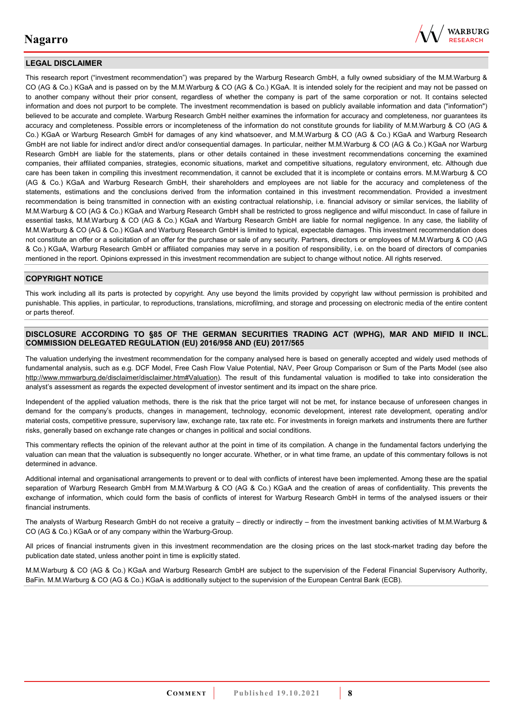

## **LEGAL DISCLAIMER**

This research report ("investment recommendation") was prepared by the Warburg Research GmbH, a fully owned subsidiary of the M.M.Warburg & CO (AG & Co.) KGaA and is passed on by the M.M.Warburg & CO (AG & Co.) KGaA. It is intended solely for the recipient and may not be passed on to another company without their prior consent, regardless of whether the company is part of the same corporation or not. It contains selected information and does not purport to be complete. The investment recommendation is based on publicly available information and data ("information") believed to be accurate and complete. Warburg Research GmbH neither examines the information for accuracy and completeness, nor guarantees its accuracy and completeness. Possible errors or incompleteness of the information do not constitute grounds for liability of M.M.Warburg & CO (AG & Co.) KGaA or Warburg Research GmbH for damages of any kind whatsoever, and M.M.Warburg & CO (AG & Co.) KGaA and Warburg Research GmbH are not liable for indirect and/or direct and/or consequential damages. In particular, neither M.M.Warburg & CO (AG & Co.) KGaA nor Warburg Research GmbH are liable for the statements, plans or other details contained in these investment recommendations concerning the examined companies, their affiliated companies, strategies, economic situations, market and competitive situations, regulatory environment, etc. Although due care has been taken in compiling this investment recommendation, it cannot be excluded that it is incomplete or contains errors. M.M.Warburg & CO (AG & Co.) KGaA and Warburg Research GmbH, their shareholders and employees are not liable for the accuracy and completeness of the statements, estimations and the conclusions derived from the information contained in this investment recommendation. Provided a investment recommendation is being transmitted in connection with an existing contractual relationship, i.e. financial advisory or similar services, the liability of M.M.Warburg & CO (AG & Co.) KGaA and Warburg Research GmbH shall be restricted to gross negligence and wilful misconduct. In case of failure in essential tasks, M.M.Warburg & CO (AG & Co.) KGaA and Warburg Research GmbH are liable for normal negligence. In any case, the liability of M.M.Warburg & CO (AG & Co.) KGaA and Warburg Research GmbH is limited to typical, expectable damages. This investment recommendation does not constitute an offer or a solicitation of an offer for the purchase or sale of any security. Partners, directors or employees of M.M.Warburg & CO (AG & Co.) KGaA, Warburg Research GmbH or affiliated companies may serve in a position of responsibility, i.e. on the board of directors of companies mentioned in the report. Opinions expressed in this investment recommendation are subject to change without notice. All rights reserved.

### **COPYRIGHT NOTICE**

This work including all its parts is protected by copyright. Any use beyond the limits provided by copyright law without permission is prohibited and punishable. This applies, in particular, to reproductions, translations, microfilming, and storage and processing on electronic media of the entire content or parts thereof.

#### **DISCLOSURE ACCORDING TO §85 OF THE GERMAN SECURITIES TRADING ACT (WPHG), MAR AND MIFID II INCL. COMMISSION DELEGATED REGULATION (EU) 2016/958 AND (EU) 2017/565**

The valuation underlying the investment recommendation for the company analysed here is based on generally accepted and widely used methods of fundamental analysis, such as e.g. DCF Model, Free Cash Flow Value Potential, NAV, Peer Group Comparison or Sum of the Parts Model (see also [http://www.mmwarburg.de/disclaimer/disclaimer.htm#Valuation\)](http://www.mmwarburg.de/disclaimer/disclaimer.htm#Valuation). The result of this fundamental valuation is modified to take into consideration the analyst's assessment as regards the expected development of investor sentiment and its impact on the share price.

Independent of the applied valuation methods, there is the risk that the price target will not be met, for instance because of unforeseen changes in demand for the company's products, changes in management, technology, economic development, interest rate development, operating and/or material costs, competitive pressure, supervisory law, exchange rate, tax rate etc. For investments in foreign markets and instruments there are further risks, generally based on exchange rate changes or changes in political and social conditions.

This commentary reflects the opinion of the relevant author at the point in time of its compilation. A change in the fundamental factors underlying the valuation can mean that the valuation is subsequently no longer accurate. Whether, or in what time frame, an update of this commentary follows is not determined in advance.

Additional internal and organisational arrangements to prevent or to deal with conflicts of interest have been implemented. Among these are the spatial separation of Warburg Research GmbH from M.M.Warburg & CO (AG & Co.) KGaA and the creation of areas of confidentiality. This prevents the exchange of information, which could form the basis of conflicts of interest for Warburg Research GmbH in terms of the analysed issuers or their financial instruments.

The analysts of Warburg Research GmbH do not receive a gratuity – directly or indirectly – from the investment banking activities of M.M.Warburg & CO (AG & Co.) KGaA or of any company within the Warburg-Group.

All prices of financial instruments given in this investment recommendation are the closing prices on the last stock-market trading day before the publication date stated, unless another point in time is explicitly stated.

M.M.Warburg & CO (AG & Co.) KGaA and Warburg Research GmbH are subject to the supervision of the Federal Financial Supervisory Authority, BaFin. M.M.Warburg & CO (AG & Co.) KGaA is additionally subject to the supervision of the European Central Bank (ECB).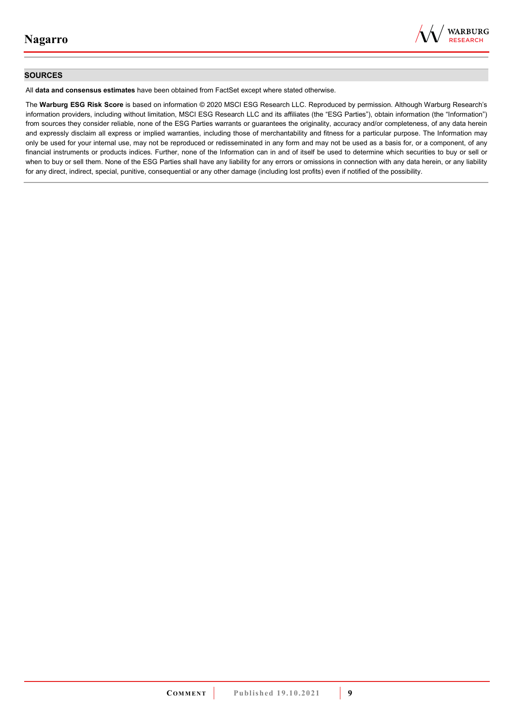

### **SOURCES**

All **data and consensus estimates** have been obtained from FactSet except where stated otherwise.

The **Warburg ESG Risk Score** is based on information © 2020 MSCI ESG Research LLC. Reproduced by permission. Although Warburg Research's information providers, including without limitation, MSCI ESG Research LLC and its affiliates (the "ESG Parties"), obtain information (the "Information") from sources they consider reliable, none of the ESG Parties warrants or guarantees the originality, accuracy and/or completeness, of any data herein and expressly disclaim all express or implied warranties, including those of merchantability and fitness for a particular purpose. The Information may only be used for your internal use, may not be reproduced or redisseminated in any form and may not be used as a basis for, or a component, of any financial instruments or products indices. Further, none of the Information can in and of itself be used to determine which securities to buy or sell or when to buy or sell them. None of the ESG Parties shall have any liability for any errors or omissions in connection with any data herein, or any liability for any direct, indirect, special, punitive, consequential or any other damage (including lost profits) even if notified of the possibility.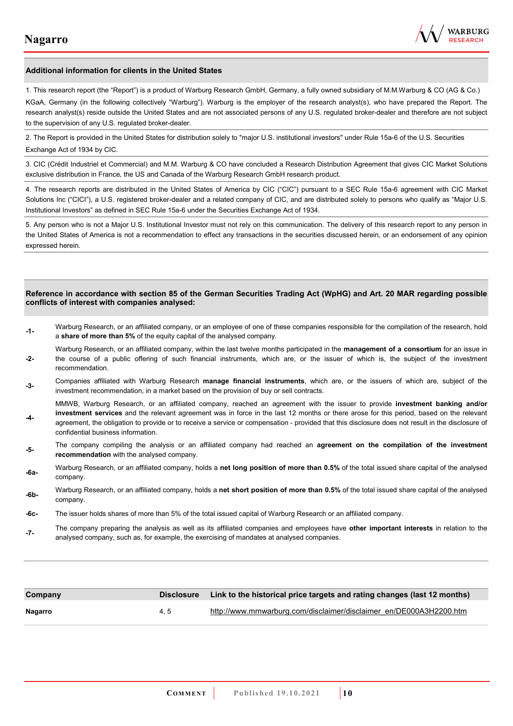

#### **Additional information for clients in the United States**

1. This research report (the "Report") is a product of Warburg Research GmbH, Germany, a fully owned subsidiary of M.M.Warburg & CO (AG & Co.)

KGaA, Germany (in the following collectively "Warburg"). Warburg is the employer of the research analyst(s), who have prepared the Report. The research analyst(s) reside outside the United States and are not associated persons of any U.S. regulated broker-dealer and therefore are not subject to the supervision of any U.S. regulated broker-dealer.

2. The Report is provided in the United States for distribution solely to "major U.S. institutional investors" under Rule 15a-6 of the U.S. Securities Exchange Act of 1934 by CIC.

3. CIC (Crédit Industriel et Commercial) and M.M. Warburg & CO have concluded a Research Distribution Agreement that gives CIC Market Solutions exclusive distribution in France, the US and Canada of the Warburg Research GmbH research product.

4. The research reports are distributed in the United States of America by CIC ("CIC") pursuant to a SEC Rule 15a-6 agreement with CIC Market Solutions Inc ("CICI"), a U.S. registered broker-dealer and a related company of CIC, and are distributed solely to persons who qualify as "Major U.S. Institutional Investors" as defined in SEC Rule 15a-6 under the Securities Exchange Act of 1934.

5. Any person who is not a Major U.S. Institutional Investor must not rely on this communication. The delivery of this research report to any person in the United States of America is not a recommendation to effect any transactions in the securities discussed herein, or an endorsement of any opinion expressed herein.

#### **Reference in accordance with section 85 of the German Securities Trading Act (WpHG) and Art. 20 MAR regarding possible conflicts of interest with companies analysed:**

- **-1-** Warburg Research, or an affiliated company, or an employee of one of these companies responsible for the compilation of the research, hold a **share of more than 5%** of the equity capital of the analysed company.
- **-2-**  Warburg Research, or an affiliated company, within the last twelve months participated in the **management of a consortium** for an issue in the course of a public offering of such financial instruments, which are, or the issuer of which is, the subject of the investment recommendation.
- **-3-** Companies affiliated with Warburg Research **manage financial instruments**, which are, or the issuers of which are, subject of the investment recommendation, in a market based on the provision of buy or sell contracts.

MMWB, Warburg Research, or an affiliated company, reached an agreement with the issuer to provide **investment banking and/or investment services** and the relevant agreement was in force in the last 12 months or there arose for this period, based on the relevant

- **-4**  agreement, the obligation to provide or to receive a service or compensation - provided that this disclosure does not result in the disclosure of confidential business information.
- **-5-** The company compiling the analysis or an affiliated company had reached an **agreement on the compilation of the investment recommendation** with the analysed company.
- **-6a-** Warburg Research, or an affiliated company, holds a **net long position of more than 0.5%** of the total issued share capital of the analysed company.
- **-6b-** Warburg Research, or an affiliated company, holds a **net short position of more than 0.5%** of the total issued share capital of the analysed company.
- **-6c-** The issuer holds shares of more than 5% of the total issued capital of Warburg Research or an affiliated company.
- **-7-** The company preparing the analysis as well as its affiliated companies and employees have **other important interests** in relation to the analysed company, such as, for example, the exercising of mandates at analysed companies.

| Company | <b>Disclosure</b> | Link to the historical price targets and rating changes (last 12 months) |
|---------|-------------------|--------------------------------------------------------------------------|
| Nagarro | 4.5               | http://www.mmwarburg.com/disclaimer/disclaimer_en/DE000A3H2200.htm       |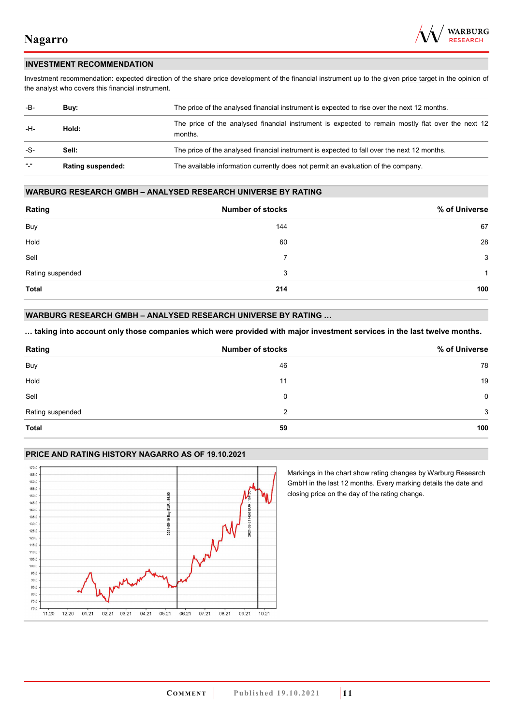

### **INVESTMENT RECOMMENDATION**

Investment recommendation: expected direction of the share price development of the financial instrument up to the given price target in the opinion of the analyst who covers this financial instrument.

| -B-             | Buy:                     | The price of the analysed financial instrument is expected to rise over the next 12 months.                  |  |
|-----------------|--------------------------|--------------------------------------------------------------------------------------------------------------|--|
| -H-             | Hold:                    | The price of the analysed financial instrument is expected to remain mostly flat over the next 12<br>months. |  |
| -S-             | Sell:                    | The price of the analysed financial instrument is expected to fall over the next 12 months.                  |  |
| $\frac{16}{16}$ | <b>Rating suspended:</b> | The available information currently does not permit an evaluation of the company.                            |  |

#### **WARBURG RESEARCH GMBH – ANALYSED RESEARCH UNIVERSE BY RATING**

| Rating           | <b>Number of stocks</b> | % of Universe |
|------------------|-------------------------|---------------|
| Buy              | 144                     | 67            |
| Hold             | 60                      | 28            |
| Sell             | $\overline{7}$          | 3             |
| Rating suspended | 3                       | 1             |
| <b>Total</b>     | 214                     | 100           |

## **WARBURG RESEARCH GMBH – ANALYSED RESEARCH UNIVERSE BY RATING …**

**… taking into account only those companies which were provided with major investment services in the last twelve months.** 

| Rating           | <b>Number of stocks</b> | % of Universe |
|------------------|-------------------------|---------------|
| Buy              | 46                      | 78            |
| Hold             | 11                      | 19            |
| Sell             | 0                       | $\mathbf 0$   |
| Rating suspended | 2                       | 3             |
| <b>Total</b>     | 59                      | 100           |

## **PRICE AND RATING HISTORY NAGARRO AS OF 19.10.2021**



Markings in the chart show rating changes by Warburg Research GmbH in the last 12 months. Every marking details the date and closing price on the day of the rating change.